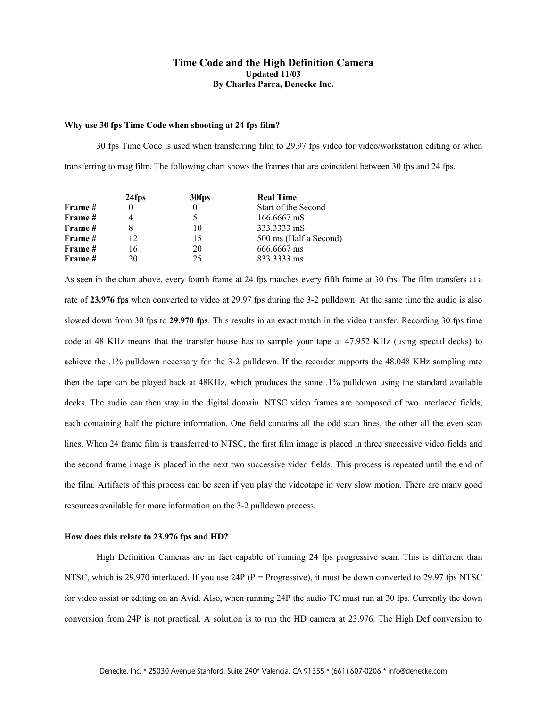# **Time Code and the High Definition Camera Updated 11/03 By Charles Parra, Denecke Inc.**

#### **Why use 30 fps Time Code when shooting at 24 fps film?**

 30 fps Time Code is used when transferring film to 29.97 fps video for video/workstation editing or when transferring to mag film. The following chart shows the frames that are coincident between 30 fps and 24 fps.

|                | 24fps | 30fps | <b>Real Time</b>       |
|----------------|-------|-------|------------------------|
| <b>Frame</b> # |       |       | Start of the Second    |
| Frame #        |       |       | 166.6667 mS            |
| Frame #        |       | 10    | 333.3333 mS            |
| Frame #        | 12    | 15    | 500 ms (Half a Second) |
| Frame #        | 16    | 20    | 666.6667 ms            |
| Frame #        | 20    | 25    | 833.3333 ms            |

As seen in the chart above, every fourth frame at 24 fps matches every fifth frame at 30 fps. The film transfers at a rate of **23.976 fps** when converted to video at 29.97 fps during the 3-2 pulldown. At the same time the audio is also slowed down from 30 fps to **29.970 fps**. This results in an exact match in the video transfer. Recording 30 fps time code at 48 KHz means that the transfer house has to sample your tape at 47.952 KHz (using special decks) to achieve the .1% pulldown necessary for the 3-2 pulldown. If the recorder supports the 48.048 KHz sampling rate then the tape can be played back at 48KHz, which produces the same .1% pulldown using the standard available decks. The audio can then stay in the digital domain. NTSC video frames are composed of two interlaced fields, each containing half the picture information. One field contains all the odd scan lines, the other all the even scan lines. When 24 frame film is transferred to NTSC, the first film image is placed in three successive video fields and the second frame image is placed in the next two successive video fields. This process is repeated until the end of the film. Artifacts of this process can be seen if you play the videotape in very slow motion. There are many good resources available for more information on the 3-2 pulldown process.

### **How does this relate to 23.976 fps and HD?**

 High Definition Cameras are in fact capable of running 24 fps progressive scan. This is different than NTSC, which is 29.970 interlaced. If you use 24P ( $P =$  Progressive), it must be down converted to 29.97 fps NTSC for video assist or editing on an Avid. Also, when running 24P the audio TC must run at 30 fps. Currently the down conversion from 24P is not practical. A solution is to run the HD camera at 23.976. The High Def conversion to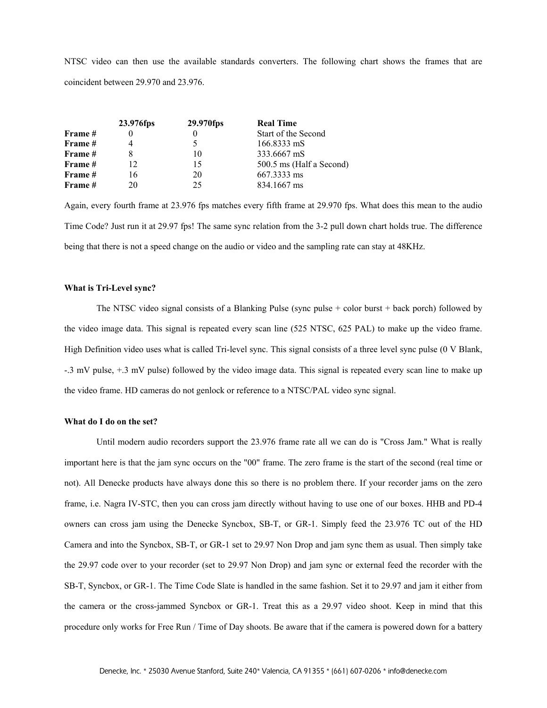NTSC video can then use the available standards converters. The following chart shows the frames that are coincident between 29.970 and 23.976.

|                | 23.976fps | 29.970fps | <b>Real Time</b>         |
|----------------|-----------|-----------|--------------------------|
| <b>Frame</b> # |           |           | Start of the Second      |
| Frame #        |           |           | 166.8333 mS              |
| Frame #        |           | 10        | 333.6667 mS              |
| Frame #        | 12        | 15        | 500.5 ms (Half a Second) |
| Frame #        | 16        | 20        | 667.3333 ms              |
| Frame #        | 20        | 25        | 834.1667 ms              |

Again, every fourth frame at 23.976 fps matches every fifth frame at 29.970 fps. What does this mean to the audio Time Code? Just run it at 29.97 fps! The same sync relation from the 3-2 pull down chart holds true. The difference being that there is not a speed change on the audio or video and the sampling rate can stay at 48KHz.

### **What is Tri-Level sync?**

The NTSC video signal consists of a Blanking Pulse (sync pulse + color burst + back porch) followed by the video image data. This signal is repeated every scan line (525 NTSC, 625 PAL) to make up the video frame. High Definition video uses what is called Tri-level sync. This signal consists of a three level sync pulse (0 V Blank, -.3 mV pulse, +.3 mV pulse) followed by the video image data. This signal is repeated every scan line to make up the video frame. HD cameras do not genlock or reference to a NTSC/PAL video sync signal.

## **What do I do on the set?**

 Until modern audio recorders support the 23.976 frame rate all we can do is "Cross Jam." What is really important here is that the jam sync occurs on the "00" frame. The zero frame is the start of the second (real time or not). All Denecke products have always done this so there is no problem there. If your recorder jams on the zero frame, i.e. Nagra IV-STC, then you can cross jam directly without having to use one of our boxes. HHB and PD-4 owners can cross jam using the Denecke Syncbox, SB-T, or GR-1. Simply feed the 23.976 TC out of the HD Camera and into the Syncbox, SB-T, or GR-1 set to 29.97 Non Drop and jam sync them as usual. Then simply take the 29.97 code over to your recorder (set to 29.97 Non Drop) and jam sync or external feed the recorder with the SB-T, Syncbox, or GR-1. The Time Code Slate is handled in the same fashion. Set it to 29.97 and jam it either from the camera or the cross-jammed Syncbox or GR-1. Treat this as a 29.97 video shoot. Keep in mind that this procedure only works for Free Run / Time of Day shoots. Be aware that if the camera is powered down for a battery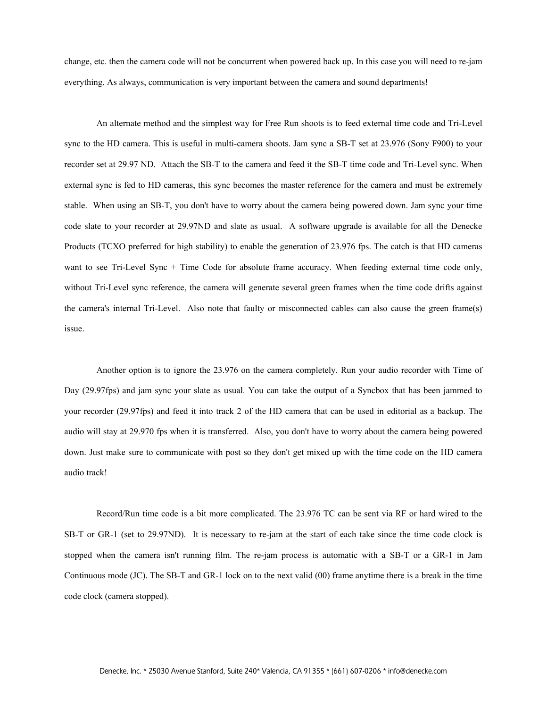change, etc. then the camera code will not be concurrent when powered back up. In this case you will need to re-jam everything. As always, communication is very important between the camera and sound departments!

 An alternate method and the simplest way for Free Run shoots is to feed external time code and Tri-Level sync to the HD camera. This is useful in multi-camera shoots. Jam sync a SB-T set at 23.976 (Sony F900) to your recorder set at 29.97 ND. Attach the SB-T to the camera and feed it the SB-T time code and Tri-Level sync. When external sync is fed to HD cameras, this sync becomes the master reference for the camera and must be extremely stable. When using an SB-T, you don't have to worry about the camera being powered down. Jam sync your time code slate to your recorder at 29.97ND and slate as usual. A software upgrade is available for all the Denecke Products (TCXO preferred for high stability) to enable the generation of 23.976 fps. The catch is that HD cameras want to see Tri-Level Sync + Time Code for absolute frame accuracy. When feeding external time code only, without Tri-Level sync reference, the camera will generate several green frames when the time code drifts against the camera's internal Tri-Level. Also note that faulty or misconnected cables can also cause the green frame(s) issue.

 Another option is to ignore the 23.976 on the camera completely. Run your audio recorder with Time of Day (29.97fps) and jam sync your slate as usual. You can take the output of a Syncbox that has been jammed to your recorder (29.97fps) and feed it into track 2 of the HD camera that can be used in editorial as a backup. The audio will stay at 29.970 fps when it is transferred. Also, you don't have to worry about the camera being powered down. Just make sure to communicate with post so they don't get mixed up with the time code on the HD camera audio track!

 Record/Run time code is a bit more complicated. The 23.976 TC can be sent via RF or hard wired to the SB-T or GR-1 (set to 29.97ND). It is necessary to re-jam at the start of each take since the time code clock is stopped when the camera isn't running film. The re-jam process is automatic with a SB-T or a GR-1 in Jam Continuous mode (JC). The SB-T and GR-1 lock on to the next valid (00) frame anytime there is a break in the time code clock (camera stopped).